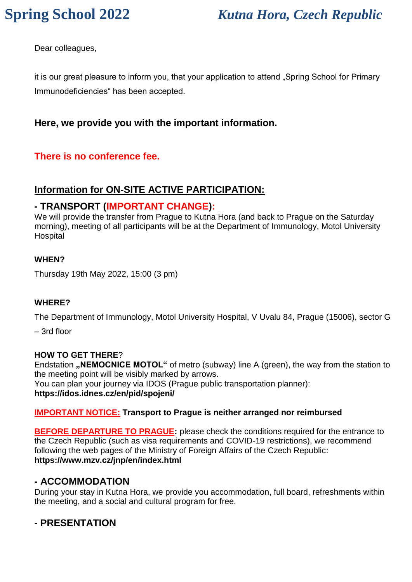# **Spring School 2022** *Kutna Hora, Czech Republic*

Dear colleagues,

it is our great pleasure to inform you, that your application to attend "Spring School for Primary Immunodeficiencies" has been accepted.

### **Here, we provide you with the important information.**

### **There is no conference fee.**

### **Information for ON-SITE ACTIVE PARTICIPATION:**

#### **- TRANSPORT (IMPORTANT CHANGE):**

We will provide the transfer from Prague to Kutna Hora (and back to Prague on the Saturday morning), meeting of all participants will be at the Department of Immunology, Motol University **Hospital** 

#### **WHEN?**

Thursday 19th May 2022, 15:00 (3 pm)

#### **WHERE?**

The Department of Immunology, Motol University Hospital, V Uvalu 84, Prague (15006), sector G

– 3rd floor

#### **HOW TO GET THERE**?

Endstation **"NEMOCNICE MOTOL**" of metro (subway) line A (green), the way from the station to the meeting point will be visibly marked by arrows. You can plan your journey via IDOS (Prague public transportation planner): **https://idos.idnes.cz/en/pid/spojeni/**

#### **IMPORTANT NOTICE: Transport to Prague is neither arranged nor reimbursed**

**BEFORE DEPARTURE TO PRAGUE:** please check the conditions required for the entrance to the Czech Republic (such as visa requirements and COVID-19 restrictions), we recommend following the web pages of the Ministry of Foreign Affairs of the Czech Republic: **https://www.mzv.cz/jnp/en/index.html**

#### **- ACCOMMODATION**

During your stay in Kutna Hora, we provide you accommodation, full board, refreshments within the meeting, and a social and cultural program for free.

#### **- PRESENTATION**